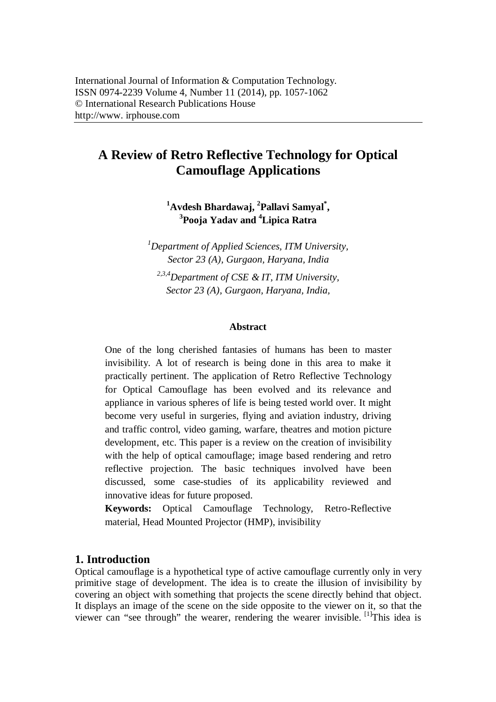# **A Review of Retro Reflective Technology for Optical Camouflage Applications**

**<sup>1</sup>Avdesh Bhardawaj, <sup>2</sup> Pallavi Samyal\* , 3 Pooja Yadav and <sup>4</sup>Lipica Ratra**

*<sup>1</sup>Department of Applied Sciences, ITM University, Sector 23 (A), Gurgaon, Haryana, India*

*2,3,4Department of CSE & IT, ITM University, Sector 23 (A), Gurgaon, Haryana, India,*

#### **Abstract**

One of the long cherished fantasies of humans has been to master invisibility. A lot of research is being done in this area to make it practically pertinent. The application of Retro Reflective Technology for Optical Camouflage has been evolved and its relevance and appliance in various spheres of life is being tested world over. It might become very useful in surgeries, flying and aviation industry, driving and traffic control, video gaming, warfare, theatres and motion picture development, etc. This paper is a review on the creation of invisibility with the help of optical camouflage; image based rendering and retro reflective projection. The basic techniques involved have been discussed, some case-studies of its applicability reviewed and innovative ideas for future proposed.

**Keywords:** Optical Camouflage Technology, Retro-Reflective material, Head Mounted Projector (HMP), invisibility

#### **1. Introduction**

Optical camouflage is a hypothetical type of active camouflage currently only in very primitive stage of development. The idea is to create the illusion of invisibility by covering an object with something that projects the scene directly behind that object. It displays an image of the scene on the side opposite to the viewer on it, so that the viewer can "see through" the wearer, rendering the wearer invisible.  $\left[1\right]$ This idea is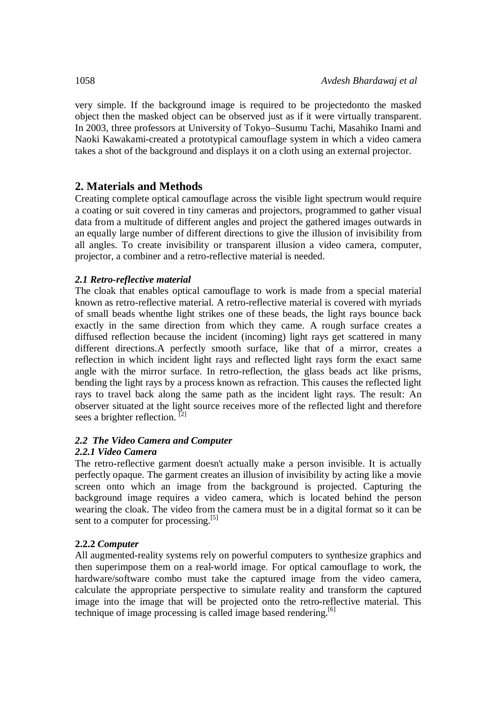very simple. If the background image is required to be projectedonto the masked object then the masked object can be observed just as if it were virtually transparent. In 2003, three professors at University of Tokyo–Susumu Tachi, Masahiko Inami and Naoki Kawakami-created a prototypical camouflage system in which a video camera takes a shot of the background and displays it on a cloth using an external projector.

# **2. Materials and Methods**

Creating complete optical camouflage across the visible light spectrum would require a coating or suit covered in tiny cameras and projectors, programmed to gather visual data from a multitude of different angles and project the gathered images outwards in an equally large number of different directions to give the illusion of invisibility from all angles. To create invisibility or transparent illusion a video camera, computer, projector, a combiner and a retro-reflective material is needed.

### *2.1 Retro-reflective material*

The cloak that enables optical camouflage to work is made from a special material known as retro-reflective material. A retro-reflective material is covered with myriads of small beads whenthe light strikes one of these beads, the light rays bounce back exactly in the same direction from which they came. A rough surface creates a diffused reflection because the incident (incoming) light rays get scattered in many different directions.A perfectly smooth surface, like that of a mirror, creates a reflection in which incident light rays and reflected light rays form the exact same angle with the mirror surface. In retro-reflection, the glass beads act like prisms, bending the light rays by a process known as refraction. This causes the reflected light rays to travel back along the same path as the incident light rays. The result: An observer situated at the light source receives more of the reflected light and therefore sees a brighter reflection.  $[2]$ 

# *2.2 The Video Camera and Computer*

### *2.2.1 Video Camera*

The retro-reflective garment doesn't actually make a person invisible. It is actually perfectly opaque. The garment creates an illusion of invisibility by acting like a movie screen onto which an image from the background is projected. Capturing the background image requires a video camera, which is located behind the person wearing the cloak. The video from the camera must be in a digital format so it can be sent to a computer for processing.<sup>[5]</sup>

### **2.2.2** *Computer*

All augmented-reality systems rely on powerful computers to synthesize graphics and then superimpose them on a real-world image. For optical camouflage to work, the hardware/software combo must take the captured image from the video camera, calculate the appropriate perspective to simulate reality and transform the captured image into the image that will be projected onto the retro-reflective material. This technique of image processing is called image based rendering.<sup>[6]</sup>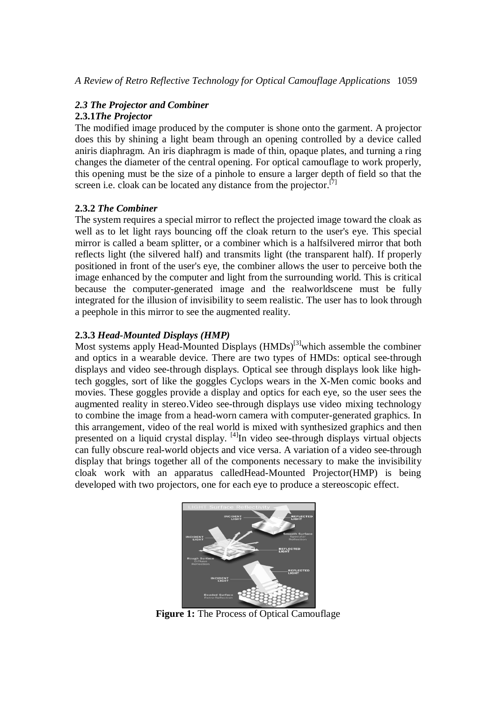### *2.3 The Projector and Combiner*

### **2.3.1***The Projector*

The modified image produced by the computer is shone onto the garment. A projector does this by shining a light beam through an opening controlled by a device called aniris diaphragm. An iris diaphragm is made of thin, opaque plates, and turning a ring changes the diameter of the central opening. For optical camouflage to work properly, this opening must be the size of a pinhole to ensure a larger depth of field so that the screen i.e. cloak can be located any distance from the projector. $^{[7]}$ 

## **2.3.2** *The Combiner*

The system requires a special mirror to reflect the projected image toward the cloak as well as to let light rays bouncing off the cloak return to the user's eye. This special mirror is called a beam splitter, or a combiner which is a halfsilvered mirror that both reflects light (the silvered half) and transmits light (the transparent half). If properly positioned in front of the user's eye, the combiner allows the user to perceive both the image enhanced by the computer and light from the surrounding world. This is critical because the computer-generated image and the realworldscene must be fully integrated for the illusion of invisibility to seem realistic. The user has to look through a peephole in this mirror to see the augmented reality.

# **2.3.3** *Head-Mounted Displays (HMP)*

Most systems apply Head-Mounted Displays (HMDs)<sup>[3]</sup>which assemble the combiner and optics in a wearable device. There are two types of HMDs: optical see-through displays and video see-through displays. Optical see through displays look like hightech goggles, sort of like the goggles Cyclops wears in the X-Men comic books and movies. These goggles provide a display and optics for each eye, so the user sees the augmented reality in stereo.Video see-through displays use video mixing technology to combine the image from a head-worn camera with computer-generated graphics. In this arrangement, video of the real world is mixed with synthesized graphics and then presented on a liquid crystal display. [4]In video see-through displays virtual objects can fully obscure real-world objects and vice versa. A variation of a video see-through display that brings together all of the components necessary to make the invisibility cloak work with an apparatus calledHead-Mounted Projector(HMP) is being developed with two projectors, one for each eye to produce a stereoscopic effect.



**Figure 1:** The Process of Optical Camouflage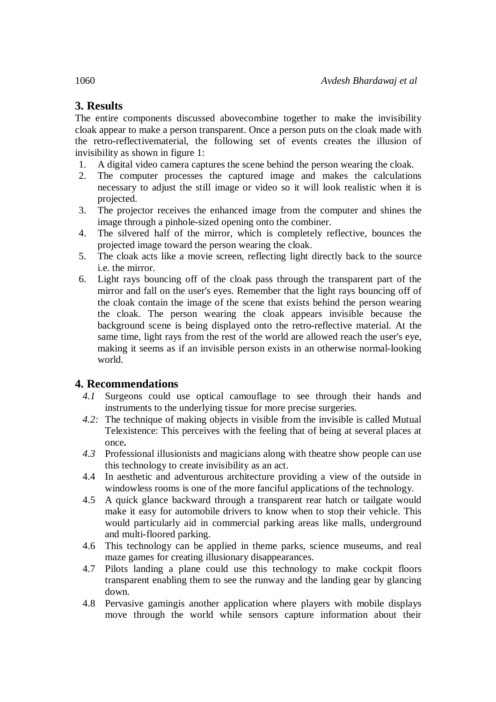# **3. Results**

The entire components discussed abovecombine together to make the invisibility cloak appear to make a person transparent. Once a person puts on the cloak made with the retro-reflectivematerial, the following set of events creates the illusion of invisibility as shown in figure 1:

- 1. A digital video camera captures the scene behind the person wearing the cloak.
- 2. The computer processes the captured image and makes the calculations necessary to adjust the still image or video so it will look realistic when it is projected.
- 3. The projector receives the enhanced image from the computer and shines the image through a pinhole-sized opening onto the combiner.
- 4. The silvered half of the mirror, which is completely reflective, bounces the projected image toward the person wearing the cloak.
- 5. The cloak acts like a movie screen, reflecting light directly back to the source i.e. the mirror.
- 6. Light rays bouncing off of the cloak pass through the transparent part of the mirror and fall on the user's eyes. Remember that the light rays bouncing off of the cloak contain the image of the scene that exists behind the person wearing the cloak. The person wearing the cloak appears invisible because the background scene is being displayed onto the retro-reflective material. At the same time, light rays from the rest of the world are allowed reach the user's eye, making it seems as if an invisible person exists in an otherwise normal-looking world.

# **4. Recommendations**

- *4.1* Surgeons could use optical camouflage to see through their hands and instruments to the underlying tissue for more precise surgeries.
- *4.2:* The technique of making objects in visible from the invisible is called Mutual Telexistence: This perceives with the feeling that of being at several places at once**.**
- *4.3* Professional illusionists and magicians along with theatre show people can use this technology to create invisibility as an act.
- 4.4 In aesthetic and adventurous architecture providing a view of the outside in windowless rooms is one of the more fanciful applications of the technology.
- 4.5 A quick glance backward through a transparent rear hatch or tailgate would make it easy for automobile drivers to know when to stop their vehicle. This would particularly aid in commercial parking areas like malls, underground and multi-floored parking.
- 4.6 This technology can be applied in theme parks, science museums, and real maze games for creating illusionary disappearances.
- 4.7 Pilots landing a plane could use this technology to make cockpit floors transparent enabling them to see the runway and the landing gear by glancing down.
- 4.8 Pervasive gamingis another application where players with mobile displays move through the world while sensors capture information about their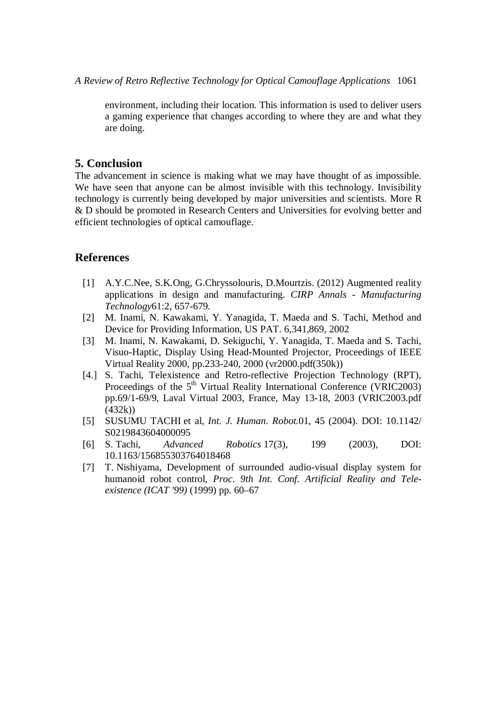environment, including their location. This information is used to deliver users a gaming experience that changes according to where they are and what they are doing.

#### **5. Conclusion**

The advancement in science is making what we may have thought of as impossible. We have seen that anyone can be almost invisible with this technology. Invisibility technology is currently being developed by major universities and scientists. More R & D should be promoted in Research Centers and Universities for evolving better and efficient technologies of optical camouflage.

#### **References**

- [1] A.Y.C.Nee, S.K.Ong, G.Chryssolouris, D.Mourtzis. (2012) Augmented reality applications in design and manufacturing. *CIRP Annals - Manufacturing Technology*61:2, 657-679.
- [2] M. Inami, N. Kawakami, Y. Yanagida, T. Maeda and S. Tachi, Method and Device for Providing Information, US PAT. 6,341,869, 2002
- [3] M. Inami, N. Kawakami, D. Sekiguchi, Y. Yanagida, T. Maeda and S. Tachi, Visuo-Haptic, Display Using Head-Mounted Projector, Proceedings of IEEE Virtual Reality 2000, pp.233-240, 2000 (vr2000.pdf(350k))
- [4.] S. Tachi, Telexistence and Retro-reflective Projection Technology (RPT), Proceedings of the  $5<sup>th</sup>$  Virtual Reality International Conference (VRIC2003) pp.69/1-69/9, Laval Virtual 2003, France, May 13-18, 2003 (VRIC2003.pdf (432k))
- [5] SUSUMU TACHI et al, *Int. J. Human. Robot.*01, 45 (2004). DOI: 10.1142/ S0219843604000095
- [6] S. Tachi, *Advanced Robotics* 17(3), 199 (2003), DOI: 10.1163/156855303764018468
- [7] T. Nishiyama, Development of surrounded audio-visual display system for humanoid robot control, *Proc. 9th Int. Conf. Artificial Reality and Teleexistence (ICAT '99)* (1999) pp. 60–67